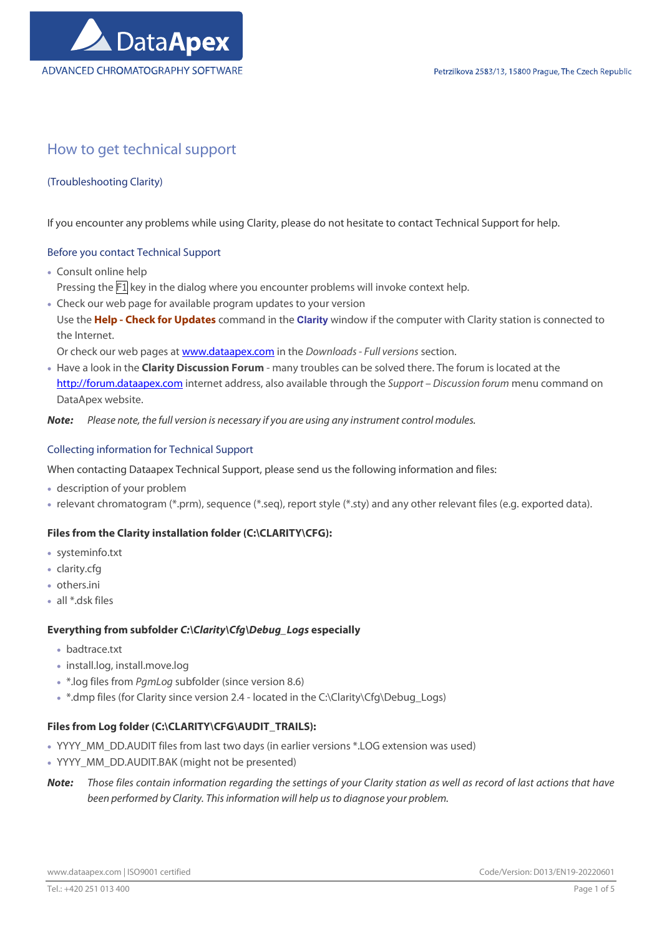# How to get technical support

# (Troubleshooting Clarity)

If you encounter any problems while using Clarity, please do not hesitate to contact Technical Support for help.

# Before you contact Technical Support

- Consult online help Pressing the  $\overline{F1}$  key in the dialog where you encounter problems will invoke context help.
- Check our web page for available program updates to your version Use the Help - Check for Updates command in the Clarity window if the computer with Clarity station is connected to the Internet.
	- Or check our web pages at www.dataapex.com in the Downloads Full versions section.
- Have a look in the Clarity Discussion Forum many troubles can be solved there. The forum is located at the http://forum.dataapex.com internet address, also available through the Support – Discussion forum menu command on DataApex website.

Note: Please note, the full version is necessary if you are using any instrument control modules.

#### Collecting information for Technical Support

When contacting Dataapex Technical Support, please send us the following information and files:

- description of your problem
- relevant chromatogram (\*.prm), sequence (\*.seq), report style (\*.sty) and any other relevant files (e.g. exported data).

# Files from the Clarity installation folder (C:\CLARITY\CFG):

- systeminfo.txt
- clarity.cfg
- others.ini
- all \*.dsk files

# Everything from subfolder C:\Clarity\Cfg\Debug\_Logs especially

- badtrace.txt
- install.log, install.move.log
- \* \*.log files from PgmLog subfolder (since version 8.6)
- \* .dmp files (for Clarity since version 2.4 located in the C:\Clarity\Cfg\Debug\_Logs)

# Files from Log folder (C:\CLARITY\CFG\AUDIT\_TRAILS):

- YYYY\_MM\_DD.AUDIT files from last two days (in earlier versions \*.LOG extension was used)
- YYYY\_MM\_DD.AUDIT.BAK (might not be presented)
- Note: Those files contain information regarding the settings of your Clarity station as well as record of last actions that have been performed by Clarity. This information will help us to diagnose your problem.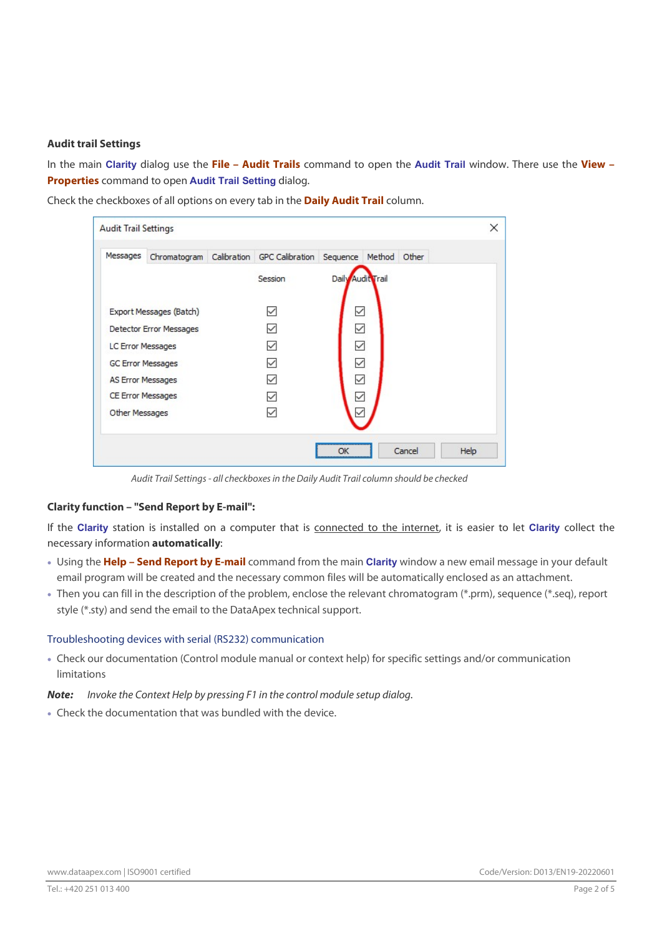#### Audit trail Settings

In the main Clarity dialog use the File - Audit Trails command to open the Audit Trail window. There use the View -Properties command to open Audit Trail Setting dialog.

Check the checkboxes of all options on every tab in the **Daily Audit Trail** column.

| <b>Audit Trail Settings</b> |                          |             |                        |                   |              |        | ×    |
|-----------------------------|--------------------------|-------------|------------------------|-------------------|--------------|--------|------|
| Messages                    | Chromatogram             | Calibration | <b>GPC Calibration</b> | Sequence          | Method Other |        |      |
|                             |                          |             | Session                | Daily Audit Trail |              |        |      |
|                             | Export Messages (Batch)  |             |                        | $\checkmark$      |              |        |      |
|                             | Detector Error Messages  |             |                        | $\checkmark$      |              |        |      |
|                             | LC Error Messages        |             |                        | $\checkmark$      |              |        |      |
| <b>GC Error Messages</b>    |                          |             |                        | $\checkmark$      |              |        |      |
|                             | AS Error Messages        |             |                        | $\checkmark$      |              |        |      |
|                             | <b>CE Error Messages</b> |             |                        | ✓                 |              |        |      |
| Other Messages              |                          |             |                        |                   |              |        |      |
|                             |                          |             |                        | ОК                |              | Cancel | Help |

Audit Trail Settings - all checkboxes in the Daily Audit Trail column should be checked

# Clarity function – "Send Report by E-mail":

If the Clarity station is installed on a computer that is connected to the internet, it is easier to let Clarity collect the necessary information automatically:

- Using the Help Send Report by E-mail command from the main Clarity window a new email message in your default email program will be created and the necessary common files will be automatically enclosed as an attachment.
- Then you can fill in the description of the problem, enclose the relevant chromatogram (\*.prm), sequence (\*.seq), report style (\*.sty) and send the email to the DataApex technical support.

#### Troubleshooting devices with serial (RS232) communication

 Check our documentation (Control module manual or context help) for specific settings and/or communication limitations

Note: Invoke the Context Help by pressing F1 in the control module setup dialog.

Check the documentation that was bundled with the device.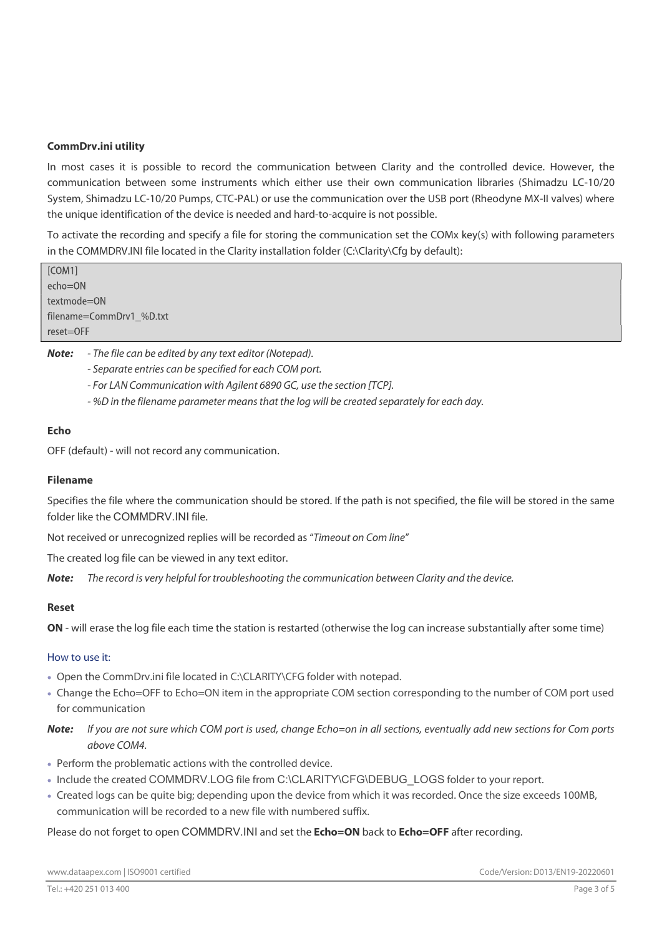# CommDrv.ini utility

In most cases it is possible to record the communication between Clarity and the controlled device. However, the communication between some instruments which either use their own communication libraries (Shimadzu LC-10/20 System, Shimadzu LC-10/20 Pumps, CTC-PAL) or use the communication over the USB port (Rheodyne MX-II valves) where the unique identification of the device is needed and hard-to-acquire is not possible.

To activate the recording and specify a file for storing the communication set the COMx key(s) with following parameters in the COMMDRV.INI file located in the Clarity installation folder (C:\Clarity\Cfq by default):

[COM1] echo=ON textmode=ON filename=CommDrv1\_%D.txt reset=OFF

Note: - The file can be edited by any text editor (Notepad).

- Separate entries can be specified for each COM port.
- For LAN Communication with Agilent 6890 GC, use the section [TCP].
- %D in the filename parameter means that the log will be created separately for each day.

#### Echo

OFF (default) - will not record any communication.

#### Filename

Specifies the file where the communication should be stored. If the path is not specified, the file will be stored in the same folder like the COMMDRV.INI file.

Not received or unrecognized replies will be recorded as "Timeout on Com line"

The created log file can be viewed in any text editor.

Note: The record is very helpful for troubleshooting the communication between Clarity and the device.

#### Reset

ON - will erase the log file each time the station is restarted (otherwise the log can increase substantially after some time)

#### How to use it:

- Open the CommDrv.ini file located in C:\CLARITY\CFG folder with notepad.
- Change the Echo=OFF to Echo=ON item in the appropriate COM section corresponding to the number of COM port used for communication
- Note: If you are not sure which COM port is used, change Echo=on in all sections, eventually add new sections for Com ports above COM4.
- Perform the problematic actions with the controlled device.
- Include the created COMMDRV.LOG file from C:\CLARITY\CFG\DEBUG\_LOGS folder to your report.
- Created logs can be quite big; depending upon the device from which it was recorded. Once the size exceeds 100MB, communication will be recorded to a new file with numbered suffix.

Please do not forget to open COMMDRV.INI and set the Echo=ON back to Echo=OFF after recording.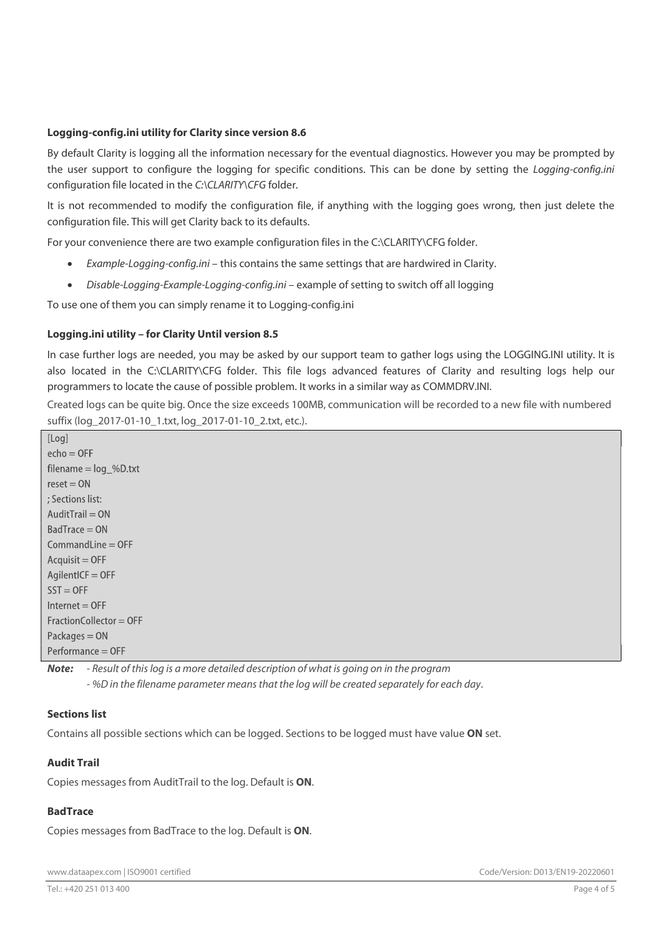#### Logging-config.ini utility for Clarity since version 8.6

By default Clarity is logging all the information necessary for the eventual diagnostics. However you may be prompted by the user support to configure the logging for specific conditions. This can be done by setting the Logging-config.ini configuration file located in the C:\CLARITY\CFG folder.

It is not recommended to modify the configuration file, if anything with the logging goes wrong, then just delete the configuration file. This will get Clarity back to its defaults.

For your convenience there are two example configuration files in the C:\CLARITY\CFG folder.

- Example-Logging-config.ini this contains the same settings that are hardwired in Clarity.
- Disable-Logging-Example-Logging-config.ini example of setting to switch off all logging

To use one of them you can simply rename it to Logging-config.ini

#### Logging.ini utility – for Clarity Until version 8.5

In case further logs are needed, you may be asked by our support team to gather logs using the LOGGING.INI utility. It is also located in the C:\CLARITY\CFG folder. This file logs advanced features of Clarity and resulting logs help our programmers to locate the cause of possible problem. It works in a similar way as COMMDRV.INI.

Created logs can be quite big. Once the size exceeds 100MB, communication will be recorded to a new file with numbered suffix (log\_2017-01-10\_1.txt, log\_2017-01-10\_2.txt, etc.).

| [LUY]                     |
|---------------------------|
| $echo = OFF$              |
| filename $=$ $log$ %D.txt |
| $reset = ON$              |
| : Sections list:          |
| $AuditTrain = ON$         |
| $BadTrace = ON$           |
| $CommandLine = OFF$       |
| $Acquist = OFF$           |
| $AgilentICF = OFF$        |
| $SST = OFF$               |
| $Internet = OFF$          |
| $FractionCollector = OFF$ |
| Packages = ON             |
| Performance = OFF         |
|                           |

 $\overline{11}$  and  $\overline{1}$ 

Note: - Result of this log is a more detailed description of what is going on in the program - %D in the filename parameter means that the log will be created separately for each day.

# Sections list

Contains all possible sections which can be logged. Sections to be logged must have value ON set.

# Audit Trail

Copies messages from AuditTrail to the log. Default is ON.

# BadTrace

Copies messages from BadTrace to the log. Default is ON.